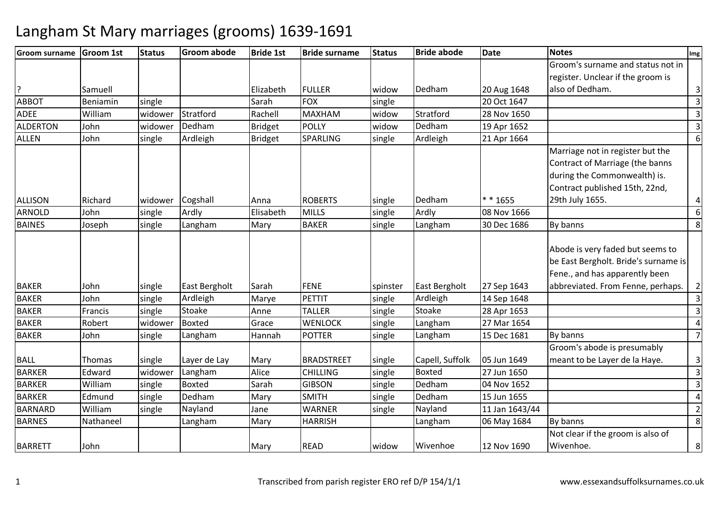| <b>Groom surname</b> | <b>Groom 1st</b> | <b>Status</b> | <b>Groom abode</b> | <b>Bride 1st</b> | <b>Bride surname</b> | <b>Status</b> | <b>Bride abode</b> | <b>Date</b>    | <b>Notes</b>                         | Img                     |
|----------------------|------------------|---------------|--------------------|------------------|----------------------|---------------|--------------------|----------------|--------------------------------------|-------------------------|
|                      |                  |               |                    |                  |                      |               |                    |                | Groom's surname and status not in    |                         |
|                      |                  |               |                    |                  |                      |               |                    |                | register. Unclear if the groom is    |                         |
|                      | Samuell          |               |                    | Elizabeth        | <b>FULLER</b>        | widow         | Dedham             | 20 Aug 1648    | also of Dedham.                      | $\overline{3}$          |
| <b>ABBOT</b>         | Beniamin         | single        |                    | Sarah            | <b>FOX</b>           | single        |                    | 20 Oct 1647    |                                      | $\mathsf{3}$            |
| <b>ADEE</b>          | William          | widower       | Stratford          | Rachell          | <b>MAXHAM</b>        | widow         | Stratford          | 28 Nov 1650    |                                      | 3                       |
| <b>ALDERTON</b>      | John             | widower       | Dedham             | <b>Bridget</b>   | <b>POLLY</b>         | widow         | Dedham             | 19 Apr 1652    |                                      | $\overline{\mathbf{3}}$ |
| <b>ALLEN</b>         | John             | single        | Ardleigh           | <b>Bridget</b>   | SPARLING             | single        | Ardleigh           | 21 Apr 1664    |                                      | 6                       |
|                      |                  |               |                    |                  |                      |               |                    |                | Marriage not in register but the     |                         |
|                      |                  |               |                    |                  |                      |               |                    |                | Contract of Marriage (the banns      |                         |
|                      |                  |               |                    |                  |                      |               |                    |                | during the Commonwealth) is.         |                         |
|                      |                  |               |                    |                  |                      |               |                    |                | Contract published 15th, 22nd,       |                         |
| <b>ALLISON</b>       | Richard          | widower       | Cogshall           | Anna             | <b>ROBERTS</b>       | single        | Dedham             | ** 1655        | 29th July 1655.                      | 4                       |
| <b>ARNOLD</b>        | John             | single        | Ardly              | Elisabeth        | <b>MILLS</b>         | single        | Ardly              | 08 Nov 1666    |                                      | 6                       |
| <b>BAINES</b>        | Joseph           | single        | Langham            | Mary             | <b>BAKER</b>         | single        | Langham            | 30 Dec 1686    | By banns                             | 8                       |
|                      |                  |               |                    |                  |                      |               |                    |                |                                      |                         |
|                      |                  |               |                    |                  |                      |               |                    |                | Abode is very faded but seems to     |                         |
|                      |                  |               |                    |                  |                      |               |                    |                | be East Bergholt. Bride's surname is |                         |
|                      |                  |               |                    |                  |                      |               |                    |                | Fene., and has apparently been       |                         |
| <b>BAKER</b>         | John             | single        | East Bergholt      | Sarah            | <b>FENE</b>          | spinster      | East Bergholt      | 27 Sep 1643    | abbreviated. From Fenne, perhaps.    | $\overline{2}$          |
| <b>BAKER</b>         | John             | single        | Ardleigh           | Marye            | PETTIT               | single        | Ardleigh           | 14 Sep 1648    |                                      | $\overline{3}$          |
| <b>BAKER</b>         | Francis          | single        | Stoake             | Anne             | <b>TALLER</b>        | single        | Stoake             | 28 Apr 1653    |                                      | $\overline{3}$          |
| <b>BAKER</b>         | Robert           | widower       | <b>Boxted</b>      | Grace            | <b>WENLOCK</b>       | single        | Langham            | 27 Mar 1654    |                                      | $\overline{4}$          |
| <b>BAKER</b>         | John             | single        | Langham            | Hannah           | <b>POTTER</b>        | single        | Langham            | 15 Dec 1681    | By banns                             | $\overline{7}$          |
|                      |                  |               |                    |                  |                      |               |                    |                | Groom's abode is presumably          |                         |
| <b>BALL</b>          | Thomas           | single        | Layer de Lay       | Mary             | <b>BRADSTREET</b>    | single        | Capell, Suffolk    | 05 Jun 1649    | meant to be Layer de la Haye.        | 3                       |
| <b>BARKER</b>        | Edward           | widower       | Langham            | Alice            | <b>CHILLING</b>      | single        | <b>Boxted</b>      | 27 Jun 1650    |                                      | 3                       |
| <b>BARKER</b>        | William          | single        | Boxted             | Sarah            | <b>GIBSON</b>        | single        | Dedham             | 04 Nov 1652    |                                      | 3                       |
| <b>BARKER</b>        | Edmund           | single        | Dedham             | Mary             | <b>SMITH</b>         | single        | Dedham             | 15 Jun 1655    |                                      | 4                       |
| <b>BARNARD</b>       | William          | single        | Nayland            | Jane             | <b>WARNER</b>        | single        | Nayland            | 11 Jan 1643/44 |                                      | $\overline{2}$          |
| <b>BARNES</b>        | Nathaneel        |               | Langham            | Mary             | <b>HARRISH</b>       |               | Langham            | 06 May 1684    | By banns                             | 8                       |
|                      |                  |               |                    |                  |                      |               |                    |                | Not clear if the groom is also of    |                         |
| <b>BARRETT</b>       | John             |               |                    | Mary             | <b>READ</b>          | widow         | Wivenhoe           | 12 Nov 1690    | Wivenhoe.                            | 8                       |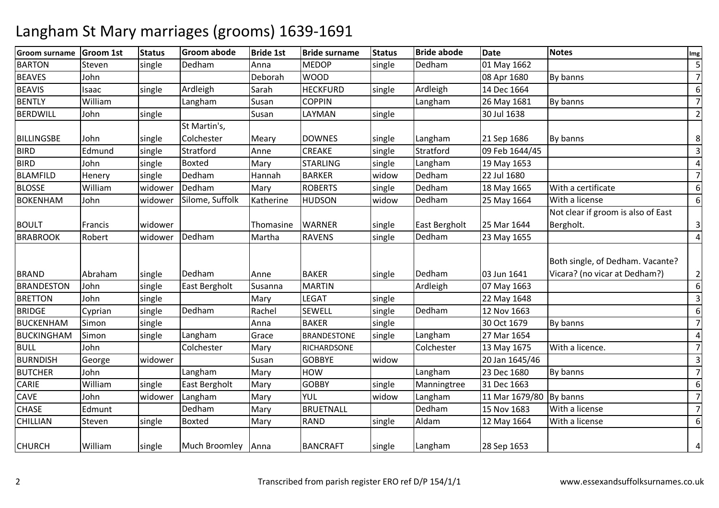| <b>Groom surname</b> | <b>Groom 1st</b> | <b>Status</b> | <b>Groom abode</b>   | <b>Bride 1st</b> | <b>Bride surname</b> | <b>Status</b> | <b>Bride abode</b>   | <b>Date</b>    | <b>Notes</b>                                                      | Img            |
|----------------------|------------------|---------------|----------------------|------------------|----------------------|---------------|----------------------|----------------|-------------------------------------------------------------------|----------------|
| <b>BARTON</b>        | Steven           | single        | Dedham               | Anna             | <b>MEDOP</b>         | single        | Dedham               | 01 May 1662    |                                                                   | 5              |
| <b>BEAVES</b>        | John             |               |                      | Deborah          | <b>WOOD</b>          |               |                      | 08 Apr 1680    | By banns                                                          | $\overline{7}$ |
| <b>BEAVIS</b>        | Isaac            | single        | Ardleigh             | Sarah            | <b>HECKFURD</b>      | single        | Ardleigh             | 14 Dec 1664    |                                                                   | 6              |
| <b>BENTLY</b>        | William          |               | Langham              | Susan            | <b>COPPIN</b>        |               | Langham              | 26 May 1681    | By banns                                                          | $\overline{7}$ |
| <b>BERDWILL</b>      | John             | single        |                      | Susan            | LAYMAN               | single        |                      | 30 Jul 1638    |                                                                   | $\overline{2}$ |
|                      |                  |               | St Martin's,         |                  |                      |               |                      |                |                                                                   |                |
| <b>BILLINGSBE</b>    | John             | single        | Colchester           | Meary            | <b>DOWNES</b>        | single        | Langham              | 21 Sep 1686    | By banns                                                          | 8              |
| <b>BIRD</b>          | Edmund           | single        | Stratford            | Anne             | <b>CREAKE</b>        | single        | Stratford            | 09 Feb 1644/45 |                                                                   | $\overline{3}$ |
| <b>BIRD</b>          | John             | single        | <b>Boxted</b>        | Mary             | <b>STARLING</b>      | single        | Langham              | 19 May 1653    |                                                                   | 4              |
| <b>BLAMFILD</b>      | Henery           | single        | Dedham               | Hannah           | <b>BARKER</b>        | widow         | Dedham               | 22 Jul 1680    |                                                                   | $\overline{7}$ |
| <b>BLOSSE</b>        | William          | widower       | Dedham               | Mary             | <b>ROBERTS</b>       | single        | Dedham               | 18 May 1665    | With a certificate                                                | 6              |
| <b>BOKENHAM</b>      | John             | widower       | Silome, Suffolk      | Katherine        | <b>HUDSON</b>        | widow         | Dedham               | 25 May 1664    | With a license                                                    | 6              |
|                      |                  |               |                      |                  |                      |               |                      |                | Not clear if groom is also of East                                |                |
| <b>BOULT</b>         | Francis          | widower       |                      | Thomasine        | <b>WARNER</b>        | single        | <b>East Bergholt</b> | 25 Mar 1644    | Bergholt.                                                         | 3              |
| <b>BRABROOK</b>      | Robert           | widower       | Dedham               | Martha           | <b>RAVENS</b>        | single        | Dedham               | 23 May 1655    |                                                                   | $\overline{4}$ |
| <b>BRAND</b>         | Abraham          | single        | Dedham               | Anne             | <b>BAKER</b>         | single        | Dedham               | 03 Jun 1641    | Both single, of Dedham. Vacante?<br>Vicara? (no vicar at Dedham?) | $\overline{2}$ |
| <b>BRANDESTON</b>    | John             | single        | <b>East Bergholt</b> | Susanna          | <b>MARTIN</b>        |               | Ardleigh             | 07 May 1663    |                                                                   | 6              |
| <b>BRETTON</b>       | John             | single        |                      | Mary             | <b>LEGAT</b>         | single        |                      | 22 May 1648    |                                                                   | 3              |
| <b>BRIDGE</b>        | Cyprian          | single        | Dedham               | Rachel           | <b>SEWELL</b>        | single        | Dedham               | 12 Nov 1663    |                                                                   | 6              |
| BUCKENHAM            | Simon            | single        |                      | Anna             | <b>BAKER</b>         | single        |                      | 30 Oct 1679    | By banns                                                          | $\overline{7}$ |
| <b>BUCKINGHAM</b>    | Simon            | single        | Langham              | Grace            | <b>BRANDESTONE</b>   | single        | Langham              | 27 Mar 1654    |                                                                   | 4              |
| <b>BULL</b>          | John             |               | Colchester           | Mary             | RICHARDSONE          |               | Colchester           | 13 May 1675    | With a licence.                                                   | $\overline{7}$ |
| <b>BURNDISH</b>      | George           | widower       |                      | Susan            | <b>GOBBYE</b>        | widow         |                      | 20 Jan 1645/46 |                                                                   | $\overline{3}$ |
| <b>BUTCHER</b>       | John             |               | Langham              | Mary             | <b>HOW</b>           |               | Langham              | 23 Dec 1680    | By banns                                                          | $\overline{7}$ |
| <b>CARIE</b>         | William          | single        | <b>East Bergholt</b> | Mary             | <b>GOBBY</b>         | single        | Manningtree          | 31 Dec 1663    |                                                                   | 6              |
| <b>CAVE</b>          | John             | widower       | Langham              | Mary             | YUL                  | widow         | Langham              | 11 Mar 1679/80 | By banns                                                          | $\overline{7}$ |
| <b>CHASE</b>         | Edmunt           |               | Dedham               | Mary             | <b>BRUETNALL</b>     |               | Dedham               | 15 Nov 1683    | With a license                                                    | $\overline{7}$ |
| <b>CHILLIAN</b>      | Steven           | single        | <b>Boxted</b>        | Mary             | <b>RAND</b>          | single        | Aldam                | 12 May 1664    | With a license                                                    | 6              |
| <b>CHURCH</b>        | William          | single        | Much Broomley Anna   |                  | <b>BANCRAFT</b>      | single        | Langham              | 28 Sep 1653    |                                                                   | 4              |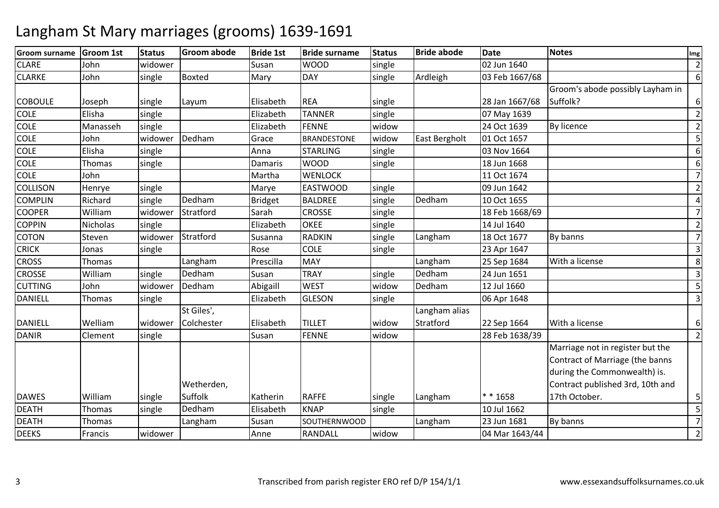| <b>Groom surname</b> | <b>Groom 1st</b> | <b>Status</b> | <b>Groom abode</b> | <b>Bride 1st</b> | <b>Bride surname</b> | <b>Status</b> | <b>Bride abode</b> | <b>Date</b>    | <b>Notes</b>                                                                                                                            | Img            |
|----------------------|------------------|---------------|--------------------|------------------|----------------------|---------------|--------------------|----------------|-----------------------------------------------------------------------------------------------------------------------------------------|----------------|
| <b>CLARE</b>         | John             | widower       |                    | Susan            | <b>WOOD</b>          | single        |                    | 02 Jun 1640    |                                                                                                                                         | $\overline{2}$ |
| <b>CLARKE</b>        | John             | single        | <b>Boxted</b>      | Mary             | <b>DAY</b>           | single        | Ardleigh           | 03 Feb 1667/68 |                                                                                                                                         | 6              |
|                      |                  |               |                    |                  |                      |               |                    |                | Groom's abode possibly Layham in                                                                                                        |                |
| <b>COBOULE</b>       | Joseph           | single        | Layum              | Elisabeth        | <b>REA</b>           | single        |                    | 28 Jan 1667/68 | Suffolk?                                                                                                                                | 6              |
| <b>COLE</b>          | Elisha           | single        |                    | Elizabeth        | <b>TANNER</b>        | single        |                    | 07 May 1639    |                                                                                                                                         | $\overline{2}$ |
| COLE                 | Manasseh         | single        |                    | Elizabeth        | <b>FENNE</b>         | widow         |                    | 24 Oct 1639    | By licence                                                                                                                              | $\overline{2}$ |
| <b>COLE</b>          | John             | widower       | Dedham             | Grace            | <b>BRANDESTONE</b>   | widow         | East Bergholt      | 01 Oct 1657    |                                                                                                                                         | 5              |
| <b>COLE</b>          | Elisha           | single        |                    | Anna             | <b>STARLING</b>      | single        |                    | 03 Nov 1664    |                                                                                                                                         | 6              |
| COLE                 | Thomas           | single        |                    | Damaris          | <b>WOOD</b>          | single        |                    | 18 Jun 1668    |                                                                                                                                         | 6              |
| <b>COLE</b>          | John             |               |                    | Martha           | <b>WENLOCK</b>       |               |                    | 11 Oct 1674    |                                                                                                                                         | $\overline{7}$ |
| <b>COLLISON</b>      | Henrye           | single        |                    | Marye            | <b>EASTWOOD</b>      | single        |                    | 09 Jun 1642    |                                                                                                                                         | $\overline{2}$ |
| <b>COMPLIN</b>       | Richard          | single        | Dedham             | <b>Bridget</b>   | <b>BALDREE</b>       | single        | Dedham             | 10 Oct 1655    |                                                                                                                                         | 4              |
| <b>COOPER</b>        | William          | widower       | Stratford          | Sarah            | <b>CROSSE</b>        | single        |                    | 18 Feb 1668/69 |                                                                                                                                         | $\overline{7}$ |
| <b>COPPIN</b>        | Nicholas         | single        |                    | Elizabeth        | <b>OKEE</b>          | single        |                    | 14 Jul 1640    |                                                                                                                                         | $\overline{2}$ |
| <b>COTON</b>         | Steven           | widower       | Stratford          | Susanna          | <b>RADKIN</b>        | single        | Langham            | 18 Oct 1677    | By banns                                                                                                                                | $\overline{7}$ |
| <b>CRICK</b>         | Jonas            | single        |                    | Rose             | <b>COLE</b>          | single        |                    | 23 Apr 1647    |                                                                                                                                         | 3              |
| <b>CROSS</b>         | Thomas           |               | Langham            | Prescilla        | MAY                  |               | Langham            | 25 Sep 1684    | With a license                                                                                                                          | 8              |
| CROSSE               | William          | single        | Dedham             | Susan            | <b>TRAY</b>          | single        | Dedham             | 24 Jun 1651    |                                                                                                                                         | 3              |
| <b>CUTTING</b>       | John             | widower       | Dedham             | Abigaill         | <b>WEST</b>          | widow         | Dedham             | 12 Jul 1660    |                                                                                                                                         | 5              |
| <b>DANIELL</b>       | Thomas           | single        |                    | Elizabeth        | <b>GLESON</b>        | single        |                    | 06 Apr 1648    |                                                                                                                                         | 3              |
|                      |                  |               | St Giles',         |                  |                      |               | Langham alias      |                |                                                                                                                                         |                |
| <b>DANIELL</b>       | Welliam          | widower       | Colchester         | Elisabeth        | <b>TILLET</b>        | widow         | Stratford          | 22 Sep 1664    | With a license                                                                                                                          | 6              |
| <b>DANIR</b>         | Clement          | single        |                    | Susan            | <b>FENNE</b>         | widow         |                    | 28 Feb 1638/39 |                                                                                                                                         | $\overline{2}$ |
|                      |                  |               | Wetherden,         |                  |                      |               |                    |                | Marriage not in register but the<br>Contract of Marriage (the banns<br>during the Commonwealth) is.<br>Contract published 3rd, 10th and |                |
| <b>DAWES</b>         | William          | single        | Suffolk            | Katherin         | <b>RAFFE</b>         | single        | Langham            | * * 1658       | 17th October.                                                                                                                           | 5              |
| <b>DEATH</b>         | Thomas           | single        | Dedham             | Elisabeth        | <b>KNAP</b>          | single        |                    | 10 Jul 1662    |                                                                                                                                         | $\overline{5}$ |
| <b>DEATH</b>         | Thomas           |               | Langham            | Susan            | SOUTHERNWOOD         |               | Langham            | 23 Jun 1681    | By banns                                                                                                                                | $\overline{7}$ |
| <b>DEEKS</b>         | Francis          | widower       |                    | Anne             | RANDALL              | widow         |                    | 04 Mar 1643/44 |                                                                                                                                         | $\overline{2}$ |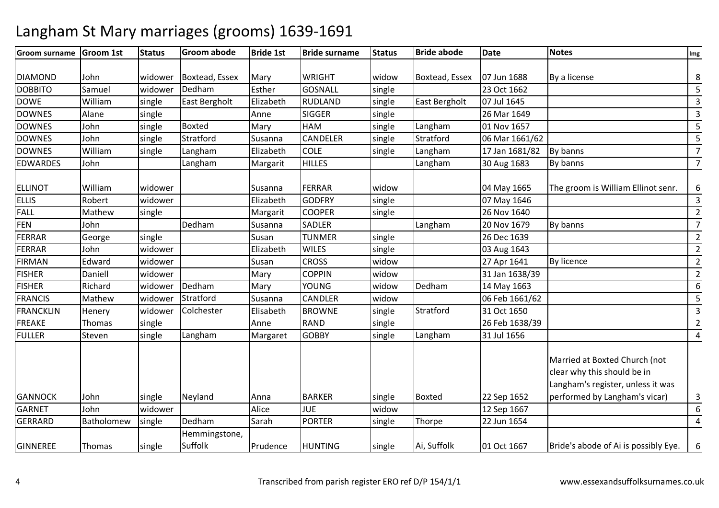#### **Groom surname Groom 1st Status Groom abode Bride 1st Bride surname Status Bride abode Date Notes Img** DIAMOND John widower Boxtead, Essex Mary WRIGHT widowwidow Boxtead, Essex 07 Jun 1688 By a license<br>single 23 Oct 1662 8 $\overline{\mathbf{5}}$ DOBBITOSamuel | widower Dedham<br>
William | single | East Bergholt m Esther GOSNALL single 23 Oct 1662 55 30 1662 5 30 1662 5 4 16 16 16 16 16 16 16 17 18 18 19 10 10 11 12 13 1 DOWE William single East Bergholt Elizabeth RUDLAND single East Bergholt 07 Jul 1645 <sup>3</sup> **DOWNES**  Alanee Single Anne SIGGER R Single 26 Mar 1649 3 **DOWNES**  Johnn single Boxted Mary HAM M single Langham 01 Nov 1657 55<br>NPELER single Charlford 2004/4004/02 DOWNES Johnn single Stratford Susanna CANDELER CANDELER single Stratford 06 Mar 1661/62<br>
COLE single Langham 17 Jan 1681/82 By banns 7 DOWNES Williamm single Langham Elizabeth COLE single Langham 17 Jan 1681/82 By banns<br>Annual Langham Langham single language of the single single single single single single single single single 7 7EDWARDES John Langhamm Margarit HILLES Langham 30 Aug 1683 By banns ELLINOT William widower Susanna FERRAR widow 04 May 1665  $104$  May 1665 Farm are groom is William Ellinot senr. 6 $\overline{3}$ ELLISS Robert Widower Elizabeth h GODFRY single 07 May 1646 3 FALL Matheww single Margarit COOPER single 26 Nov 1640 20 Nov 2000 22 FENN John Dedham m Susanna SADLER Langham 20 Nov 1679 By banns<br>Langham Langham 20 Nov 1679 By banns 7 $\overline{2}$ FERRARR George single Susan TUNMER single 26 Dec 1639 2011 2012 2014 FERRARR John widower Elizabeth WILES single 03 Aug 1643 2 FIRMANN Edward widower Susan CROSS widow w 27 Apr 1641 By licence 2 FISHERR Daniell widower Mary COPPIN **COPPIN** widow<br> **YOUNG** widow 31 Jan 1638/39 2<br>Dedham 14 May 1663 6 FISHERRichard Widower Dedham<br>Mathew Widower Stratford m Mary YOUNG widow Dedham 14 May 1663<br>And Contract Contract in the Contract of the Contract of the Contract of the Contract of the Contract of the C 65 FRANCIS Mathew widower Stratford Susanna CANDLER widow 06 Feb 1661/62 <sup>5</sup> FRANCKLINN Henery widower Colchester Elisabeth BROWNE single Stratford 31 Oct 1650 31 Oct 1650 31 Oct 1650 31 Oct 1650 3 FREAKEThomas single<br>Steven single e | Anne | RAND D single 26 Feb 1638/39 20 FULLERLangham m Margaret GOBBY single Langham 31 Jul 1656 4GANNOCK John single Neyland Anna BARKER single Boxted 22 Sep 1652  $\frac{12 \text{ Sep } 1667}{2560 \text{ kg}}$ Married at Boxted Church (not clear why this should be in Langham's register, unless it was performed by Langham's vicar) 3 6GARNET Johnn widower Alice JUE widow 4GERRARD Batholomewsingle Dedham m Sarah PORTER single Thorpe 22 Jun 1654 GINNEREE Thomas Single Hemmingstone, Suffolkk 1910 Prudence HUNTING Single Ai, Suffolk 101 Oct 1667  $\vert$ 01 Oct 1667 **Example 1** Bride's abode of Ai is possibly Eye. 6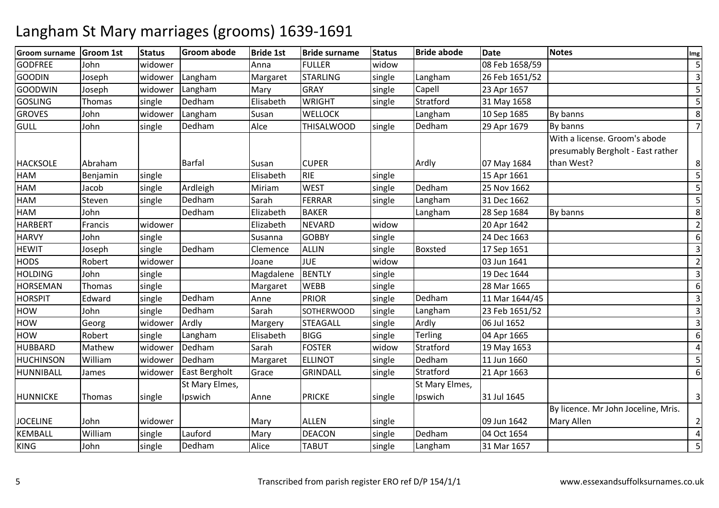| <b>Groom surname</b> | <b>Groom 1st</b> | <b>Status</b> | <b>Groom abode</b> | <b>Bride 1st</b> | <b>Bride surname</b> | <b>Status</b> | <b>Bride abode</b> | <b>Date</b>    | <b>Notes</b>                        | Img            |
|----------------------|------------------|---------------|--------------------|------------------|----------------------|---------------|--------------------|----------------|-------------------------------------|----------------|
| <b>GODFREE</b>       | John             | widower       |                    | Anna             | <b>FULLER</b>        | widow         |                    | 08 Feb 1658/59 |                                     | 5              |
| <b>GOODIN</b>        | Joseph           | widower       | Langham            | Margaret         | <b>STARLING</b>      | single        | Langham            | 26 Feb 1651/52 |                                     | 3              |
| <b>GOODWIN</b>       | Joseph           | widower       | Langham            | Mary             | <b>GRAY</b>          | single        | Capell             | 23 Apr 1657    |                                     | 5              |
| <b>GOSLING</b>       | Thomas           | single        | Dedham             | Elisabeth        | <b>WRIGHT</b>        | single        | Stratford          | 31 May 1658    |                                     | 5              |
| <b>GROVES</b>        | John             | widower       | Langham            | Susan            | <b>WELLOCK</b>       |               | Langham            | 10 Sep 1685    | By banns                            | 8              |
| <b>GULL</b>          | John             | single        | Dedham             | Alce             | <b>THISALWOOD</b>    | single        | Dedham             | 29 Apr 1679    | By banns                            | $\overline{7}$ |
|                      |                  |               |                    |                  |                      |               |                    |                | With a license. Groom's abode       |                |
|                      |                  |               |                    |                  |                      |               |                    |                | presumably Bergholt - East rather   |                |
| <b>HACKSOLE</b>      | Abraham          |               | <b>Barfal</b>      | Susan            | <b>CUPER</b>         |               | Ardly              | 07 May 1684    | than West?                          | 8              |
| HAM                  | Benjamin         | single        |                    | Elisabeth        | <b>RIE</b>           | single        |                    | 15 Apr 1661    |                                     | 5              |
| HAM                  | Jacob            | single        | Ardleigh           | Miriam           | <b>WEST</b>          | single        | Dedham             | 25 Nov 1662    |                                     | 5              |
| HAM                  | Steven           | single        | Dedham             | Sarah            | FERRAR               | single        | Langham            | 31 Dec 1662    |                                     | 5              |
| HAM                  | John             |               | Dedham             | Elizabeth        | <b>BAKER</b>         |               | Langham            | 28 Sep 1684    | By banns                            | 8              |
| <b>HARBERT</b>       | Francis          | widower       |                    | Elizabeth        | <b>NEVARD</b>        | widow         |                    | 20 Apr 1642    |                                     | $\overline{2}$ |
| <b>HARVY</b>         | John             | single        |                    | Susanna          | <b>GOBBY</b>         | single        |                    | 24 Dec 1663    |                                     | 6              |
| <b>HEWIT</b>         | Joseph           | single        | Dedham             | Clemence         | <b>ALLIN</b>         | single        | Boxsted            | 17 Sep 1651    |                                     | 3              |
| <b>HODS</b>          | Robert           | widower       |                    | Joane            | <b>JUE</b>           | widow         |                    | 03 Jun 1641    |                                     | $\overline{2}$ |
| <b>HOLDING</b>       | John             | single        |                    | Magdalene        | <b>BENTLY</b>        | single        |                    | 19 Dec 1644    |                                     | 3              |
| <b>HORSEMAN</b>      | Thomas           | single        |                    | Margaret         | <b>WEBB</b>          | single        |                    | 28 Mar 1665    |                                     | 6              |
| <b>HORSPIT</b>       | Edward           | single        | Dedham             | Anne             | <b>PRIOR</b>         | single        | Dedham             | 11 Mar 1644/45 |                                     | 3              |
| <b>HOW</b>           | John             | single        | Dedham             | Sarah            | SOTHERWOOD           | single        | Langham            | 23 Feb 1651/52 |                                     | $\overline{3}$ |
| HOW                  | Georg            | widower       | Ardly              | Margery          | <b>STEAGALL</b>      | single        | Ardly              | 06 Jul 1652    |                                     | $\overline{3}$ |
| HOW                  | Robert           | single        | Langham            | Elisabeth        | <b>BIGG</b>          | single        | Terling            | 04 Apr 1665    |                                     | 6              |
| <b>HUBBARD</b>       | Mathew           | widower       | Dedham             | Sarah            | <b>FOSTER</b>        | widow         | Stratford          | 19 May 1653    |                                     | $\overline{4}$ |
| <b>HUCHINSON</b>     | William          | widower       | Dedham             | Margaret         | <b>ELLINOT</b>       | single        | Dedham             | 11 Jun 1660    |                                     | 5              |
| HUNNIBALL            | James            | widower       | East Bergholt      | Grace            | <b>GRINDALL</b>      | single        | Stratford          | 21 Apr 1663    |                                     | 6              |
|                      |                  |               | St Mary Elmes,     |                  |                      |               | St Mary Elmes,     |                |                                     |                |
| <b>HUNNICKE</b>      | Thomas           | single        | Ipswich            | Anne             | <b>PRICKE</b>        | single        | Ipswich            | 31 Jul 1645    |                                     | 3              |
|                      |                  |               |                    |                  |                      |               |                    |                | By licence. Mr John Joceline, Mris. |                |
| <b>JOCELINE</b>      | John             | widower       |                    | Mary             | <b>ALLEN</b>         | single        |                    | 09 Jun 1642    | Mary Allen                          | 2              |
| <b>KEMBALL</b>       | William          | single        | Lauford            | Mary             | <b>DEACON</b>        | single        | Dedham             | 04 Oct 1654    |                                     | 4              |
| <b>KING</b>          | John             | single        | Dedham             | Alice            | <b>TABUT</b>         | single        | Langham            | 31 Mar 1657    |                                     | 5              |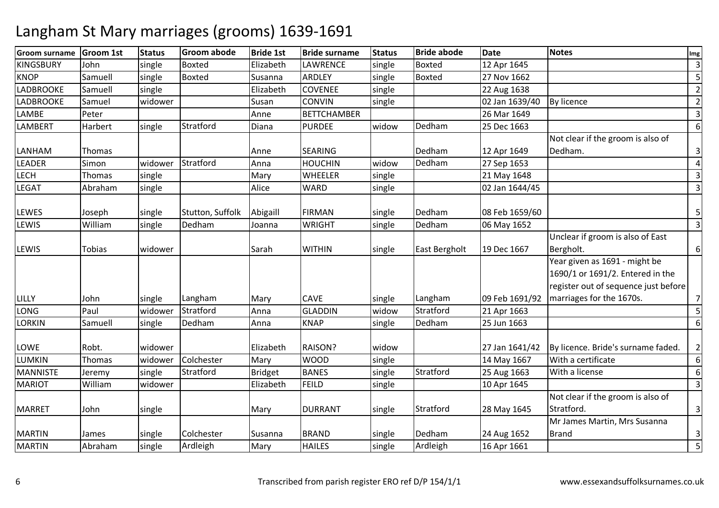| <b>Groom surname</b> | <b>Groom 1st</b> | <b>Status</b> | <b>Groom abode</b> | <b>Bride 1st</b> | <b>Bride surname</b> | <b>Status</b> | <b>Bride abode</b> | <b>Date</b>    | <b>Notes</b>                                                      | Img            |
|----------------------|------------------|---------------|--------------------|------------------|----------------------|---------------|--------------------|----------------|-------------------------------------------------------------------|----------------|
| <b>KINGSBURY</b>     | John             | single        | <b>Boxted</b>      | Elizabeth        | LAWRENCE             | single        | <b>Boxted</b>      | 12 Apr 1645    |                                                                   | $\overline{3}$ |
| <b>KNOP</b>          | Samuell          | single        | <b>Boxted</b>      | Susanna          | <b>ARDLEY</b>        | single        | <b>Boxted</b>      | 27 Nov 1662    |                                                                   | 5              |
| <b>LADBROOKE</b>     | Samuell          | single        |                    | Elizabeth        | <b>COVENEE</b>       | single        |                    | 22 Aug 1638    |                                                                   | $\overline{2}$ |
| <b>LADBROOKE</b>     | Samuel           | widower       |                    | Susan            | CONVIN               | single        |                    | 02 Jan 1639/40 | By licence                                                        | $\overline{2}$ |
| LAMBE                | Peter            |               |                    | Anne             | <b>BETTCHAMBER</b>   |               |                    | 26 Mar 1649    |                                                                   | $\overline{3}$ |
| <b>LAMBERT</b>       | Harbert          | single        | Stratford          | Diana            | <b>PURDEE</b>        | widow         | Dedham             | 25 Dec 1663    |                                                                   | 6              |
|                      |                  |               |                    |                  |                      |               |                    |                | Not clear if the groom is also of                                 |                |
| LANHAM               | Thomas           |               |                    | Anne             | <b>SEARING</b>       |               | Dedham             | 12 Apr 1649    | Dedham.                                                           | 3              |
| LEADER               | Simon            | widower       | Stratford          | Anna             | <b>HOUCHIN</b>       | widow         | Dedham             | 27 Sep 1653    |                                                                   | 4              |
| <b>LECH</b>          | Thomas           | single        |                    | Mary             | <b>WHEELER</b>       | single        |                    | 21 May 1648    |                                                                   | 3              |
| <b>LEGAT</b>         | Abraham          | single        |                    | Alice            | <b>WARD</b>          | single        |                    | 02 Jan 1644/45 |                                                                   | $\overline{3}$ |
| <b>LEWES</b>         | Joseph           | single        | Stutton, Suffolk   | Abigaill         | <b>FIRMAN</b>        | single        | Dedham             | 08 Feb 1659/60 |                                                                   | 5              |
| <b>LEWIS</b>         | William          | single        | Dedham             | Joanna           | <b>WRIGHT</b>        | single        | Dedham             | 06 May 1652    |                                                                   | $\overline{3}$ |
|                      |                  |               |                    |                  |                      |               |                    |                | Unclear if groom is also of East                                  |                |
| LEWIS                | Tobias           | widower       |                    | Sarah            | <b>WITHIN</b>        | single        | East Bergholt      | 19 Dec 1667    | Bergholt.                                                         | 6              |
|                      |                  |               |                    |                  |                      |               |                    |                | Year given as 1691 - might be<br>1690/1 or 1691/2. Entered in the |                |
|                      |                  |               |                    |                  |                      |               |                    |                | register out of sequence just before                              |                |
| LILLY                | John             | single        | Langham            | Mary             | <b>CAVE</b>          | single        | Langham            | 09 Feb 1691/92 | marriages for the 1670s.                                          | 7              |
| LONG                 | Paul             | widower       | Stratford          | Anna             | <b>GLADDIN</b>       | widow         | Stratford          | 21 Apr 1663    |                                                                   | 5              |
| <b>LORKIN</b>        | Samuell          | single        | Dedham             | Anna             | <b>KNAP</b>          | single        | Dedham             | 25 Jun 1663    |                                                                   | 6              |
| LOWE                 | Robt.            | widower       |                    | Elizabeth        | RAISON?              | widow         |                    | 27 Jan 1641/42 | By licence. Bride's surname faded.                                | $\overline{2}$ |
| LUMKIN               | <b>Thomas</b>    | widower       | Colchester         | Mary             | <b>WOOD</b>          | single        |                    | 14 May 1667    | With a certificate                                                | 6              |
| <b>MANNISTE</b>      | Jeremy           | single        | Stratford          | <b>Bridget</b>   | <b>BANES</b>         | single        | Stratford          | 25 Aug 1663    | With a license                                                    | 6              |
| <b>MARIOT</b>        | William          | widower       |                    | Elizabeth        | <b>FEILD</b>         | single        |                    | 10 Apr 1645    |                                                                   | 3              |
|                      |                  |               |                    |                  |                      |               |                    |                | Not clear if the groom is also of                                 |                |
| <b>MARRET</b>        | John             | single        |                    | Mary             | <b>DURRANT</b>       | single        | Stratford          | 28 May 1645    | Stratford.                                                        | 3              |
|                      |                  |               |                    |                  |                      |               |                    |                | Mr James Martin, Mrs Susanna                                      |                |
| <b>MARTIN</b>        | James            | single        | Colchester         | Susanna          | <b>BRAND</b>         | single        | Dedham             | 24 Aug 1652    | <b>Brand</b>                                                      | 3              |
| <b>MARTIN</b>        | Abraham          | single        | Ardleigh           | Mary             | <b>HAILES</b>        | single        | Ardleigh           | 16 Apr 1661    |                                                                   | $\overline{5}$ |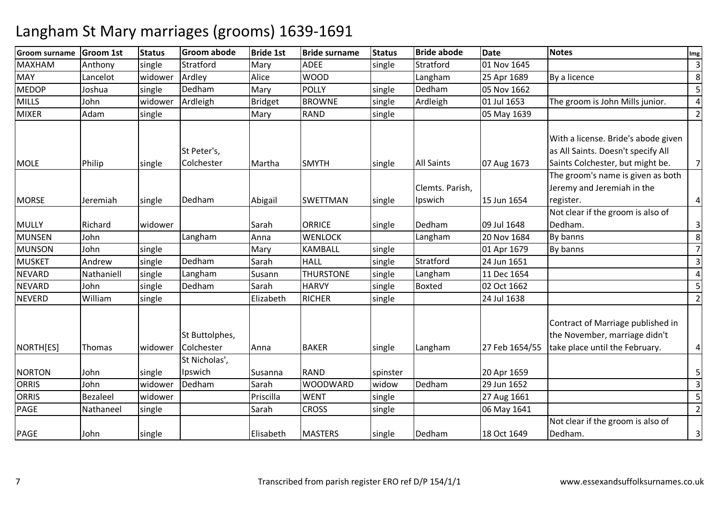| <b>Groom surname</b> | <b>Groom 1st</b> | <b>Status</b> | <b>Groom abode</b>           | <b>Bride 1st</b> | <b>Bride surname</b> | <b>Status</b> | <b>Bride abode</b>         | <b>Date</b>    | <b>Notes</b>                                                                                                  | Img                     |
|----------------------|------------------|---------------|------------------------------|------------------|----------------------|---------------|----------------------------|----------------|---------------------------------------------------------------------------------------------------------------|-------------------------|
| <b>MAXHAM</b>        | Anthony          | single        | Stratford                    | Mary             | <b>ADEE</b>          | single        | Stratford                  | 01 Nov 1645    |                                                                                                               | $\mathbf{3}$            |
| <b>MAY</b>           | Lancelot         | widower       | Ardley                       | Alice            | <b>WOOD</b>          |               | Langham                    | 25 Apr 1689    | By a licence                                                                                                  | 8 <sup>1</sup>          |
| <b>MEDOP</b>         | Joshua           | single        | Dedham                       | Mary             | <b>POLLY</b>         | single        | Dedham                     | 05 Nov 1662    |                                                                                                               | 5                       |
| <b>MILLS</b>         | John             | widower       | Ardleigh                     | <b>Bridget</b>   | <b>BROWNE</b>        | single        | Ardleigh                   | 01 Jul 1653    | The groom is John Mills junior.                                                                               | $\overline{a}$          |
| <b>MIXER</b>         | Adam             | single        |                              | Mary             | <b>RAND</b>          | single        |                            | 05 May 1639    |                                                                                                               | $\overline{2}$          |
| <b>MOLE</b>          | Philip           | single        | St Peter's,<br>Colchester    | Martha           | <b>SMYTH</b>         | single        | <b>All Saints</b>          | 07 Aug 1673    | With a license. Bride's abode given<br>as All Saints. Doesn't specify All<br>Saints Colchester, but might be. | $7 \overline{ }$        |
| <b>MORSE</b>         | Jeremiah         | single        | Dedham                       | Abigail          | <b>SWETTMAN</b>      | single        | Clemts. Parish,<br>Ipswich | 15 Jun 1654    | The groom's name is given as both<br>Jeremy and Jeremiah in the<br>register.                                  | $\overline{4}$          |
| <b>MULLY</b>         | Richard          | widower       |                              | Sarah            | <b>ORRICE</b>        | single        | Dedham                     | 09 Jul 1648    | Not clear if the groom is also of<br>Dedham.                                                                  | $\overline{\mathbf{3}}$ |
| <b>MUNSEN</b>        | John             |               | Langham                      | Anna             | <b>WENLOCK</b>       |               | Langham                    | 20 Nov 1684    | By banns                                                                                                      | 8 <sup>1</sup>          |
| <b>MUNSON</b>        | John             | single        |                              | Mary             | <b>KAMBALL</b>       | single        |                            | 01 Apr 1679    | By banns                                                                                                      | 7                       |
| <b>MUSKET</b>        | Andrew           | single        | Dedham                       | Sarah            | <b>HALL</b>          | single        | Stratford                  | 24 Jun 1651    |                                                                                                               | $\mathbf{3}$            |
| <b>NEVARD</b>        | Nathaniell       | single        | Langham                      | Susann           | <b>THURSTONE</b>     | single        | Langham                    | 11 Dec 1654    |                                                                                                               | $\overline{a}$          |
| <b>NEVARD</b>        | John             | single        | Dedham                       | Sarah            | <b>HARVY</b>         | single        | <b>Boxted</b>              | 02 Oct 1662    |                                                                                                               | 5                       |
| <b>NEVERD</b>        | William          | single        |                              | Elizabeth        | <b>RICHER</b>        | single        |                            | 24 Jul 1638    |                                                                                                               | $\overline{2}$          |
| NORTH[ES]            | Thomas           | widower       | St Buttolphes,<br>Colchester | Anna             | <b>BAKER</b>         | single        | Langham                    | 27 Feb 1654/55 | Contract of Marriage published in<br>the November, marriage didn't<br>take place until the February.          | $\overline{a}$          |
|                      |                  |               | St Nicholas',                |                  |                      |               |                            |                |                                                                                                               |                         |
| <b>NORTON</b>        | John             | single        | Ipswich                      | Susanna          | <b>RAND</b>          | spinster      |                            | 20 Apr 1659    |                                                                                                               | 5                       |
| <b>ORRIS</b>         | John             | widower       | Dedham                       | Sarah            | <b>WOODWARD</b>      | widow         | Dedham                     | 29 Jun 1652    |                                                                                                               | $\mathbf{3}$            |
| <b>ORRIS</b>         | Bezaleel         | widower       |                              | Priscilla        | <b>WENT</b>          | single        |                            | 27 Aug 1661    |                                                                                                               | 5                       |
| <b>PAGE</b>          | Nathaneel        | single        |                              | Sarah            | <b>CROSS</b>         | single        |                            | 06 May 1641    |                                                                                                               | $\overline{2}$          |
| PAGE                 | John             | single        |                              | Elisabeth        | <b>MASTERS</b>       | single        | Dedham                     | 18 Oct 1649    | Not clear if the groom is also of<br>Dedham.                                                                  | $\overline{3}$          |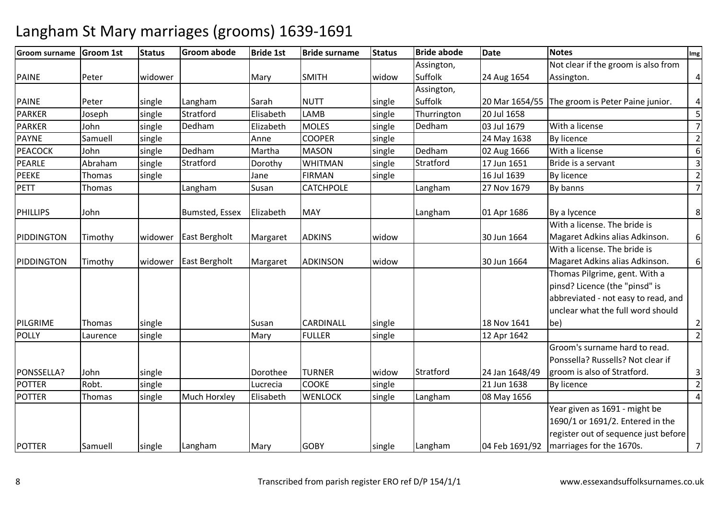| <b>Groom surname</b> | <b>Groom 1st</b> | <b>Status</b> | <b>Groom abode</b>   | <b>Bride 1st</b> | <b>Bride surname</b> | <b>Status</b> | <b>Bride abode</b> | <b>Date</b>    | <b>Notes</b>                                    | Img            |
|----------------------|------------------|---------------|----------------------|------------------|----------------------|---------------|--------------------|----------------|-------------------------------------------------|----------------|
|                      |                  |               |                      |                  |                      |               | Assington,         |                | Not clear if the groom is also from             |                |
| <b>PAINE</b>         | Peter            | widower       |                      | Mary             | <b>SMITH</b>         | widow         | Suffolk            | 24 Aug 1654    | Assington.                                      | 4              |
|                      |                  |               |                      |                  |                      |               | Assington,         |                |                                                 |                |
| <b>PAINE</b>         | Peter            | single        | Langham              | Sarah            | <b>NUTT</b>          | single        | Suffolk            |                | 20 Mar 1654/55 The groom is Peter Paine junior. | $\overline{4}$ |
| <b>PARKER</b>        | Joseph           | single        | Stratford            | Elisabeth        | LAMB                 | single        | Thurrington        | 20 Jul 1658    |                                                 | 5              |
| <b>PARKER</b>        | John             | single        | Dedham               | Elizabeth        | <b>MOLES</b>         | single        | Dedham             | 03 Jul 1679    | With a license                                  | $\overline{7}$ |
| <b>PAYNE</b>         | Samuell          | single        |                      | Anne             | <b>COOPER</b>        | single        |                    | 24 May 1638    | By licence                                      | $\overline{2}$ |
| <b>PEACOCK</b>       | John             | single        | Dedham               | Martha           | <b>MASON</b>         | single        | Dedham             | 02 Aug 1666    | With a license                                  | 6              |
| <b>PEARLE</b>        | Abraham          | single        | Stratford            | Dorothy          | <b>WHITMAN</b>       | single        | Stratford          | 17 Jun 1651    | Bride is a servant                              | 3              |
| <b>PEEKE</b>         | Thomas           | single        |                      | Jane             | <b>FIRMAN</b>        | single        |                    | 16 Jul 1639    | By licence                                      | $\overline{2}$ |
| <b>PETT</b>          | Thomas           |               | Langham              | Susan            | <b>CATCHPOLE</b>     |               | Langham            | 27 Nov 1679    | By banns                                        | $\overline{7}$ |
| <b>PHILLIPS</b>      | John             |               | Bumsted, Essex       | Elizabeth        | <b>MAY</b>           |               | Langham            | 01 Apr 1686    | By a lycence                                    | 8 <sup>1</sup> |
|                      |                  |               |                      |                  |                      |               |                    |                | With a license. The bride is                    |                |
| PIDDINGTON           | Timothy          | widower       | <b>East Bergholt</b> | Margaret         | <b>ADKINS</b>        | widow         |                    | 30 Jun 1664    | Magaret Adkins alias Adkinson.                  | $6 \mid$       |
|                      |                  |               |                      |                  |                      |               |                    |                | With a license. The bride is                    |                |
| PIDDINGTON           | Timothy          | widower       | <b>East Bergholt</b> | Margaret         | <b>ADKINSON</b>      | widow         |                    | 30 Jun 1664    | Magaret Adkins alias Adkinson.                  | $6 \mid$       |
|                      |                  |               |                      |                  |                      |               |                    |                | Thomas Pilgrime, gent. With a                   |                |
|                      |                  |               |                      |                  |                      |               |                    |                | pinsd? Licence (the "pinsd" is                  |                |
|                      |                  |               |                      |                  |                      |               |                    |                | abbreviated - not easy to read, and             |                |
|                      |                  |               |                      |                  |                      |               |                    |                | unclear what the full word should               |                |
| PILGRIME             | Thomas           | single        |                      | Susan            | CARDINALL            | single        |                    | 18 Nov 1641    | be)                                             | $\overline{2}$ |
| <b>POLLY</b>         | Laurence         | single        |                      | Mary             | <b>FULLER</b>        | single        |                    | 12 Apr 1642    |                                                 | $\overline{2}$ |
|                      |                  |               |                      |                  |                      |               |                    |                | Groom's surname hard to read.                   |                |
|                      |                  |               |                      |                  |                      |               |                    |                | Ponssella? Russells? Not clear if               |                |
| PONSSELLA?           | John             | single        |                      | Dorothee         | <b>TURNER</b>        | widow         | Stratford          | 24 Jan 1648/49 | groom is also of Stratford.                     | 3              |
| <b>POTTER</b>        | Robt.            | single        |                      | Lucrecia         | <b>COOKE</b>         | single        |                    | 21 Jun 1638    | By licence                                      | $\overline{2}$ |
| <b>POTTER</b>        | Thomas           | single        | Much Horxley         | Elisabeth        | <b>WENLOCK</b>       | single        | Langham            | 08 May 1656    |                                                 | $\overline{4}$ |
|                      |                  |               |                      |                  |                      |               |                    |                | Year given as 1691 - might be                   |                |
|                      |                  |               |                      |                  |                      |               |                    |                | 1690/1 or 1691/2. Entered in the                |                |
|                      |                  |               |                      |                  |                      |               |                    |                | register out of sequence just before            |                |
| <b>POTTER</b>        | Samuell          | single        | Langham              | Mary             | <b>GOBY</b>          | single        | Langham            | 04 Feb 1691/92 | marriages for the 1670s.                        | 7              |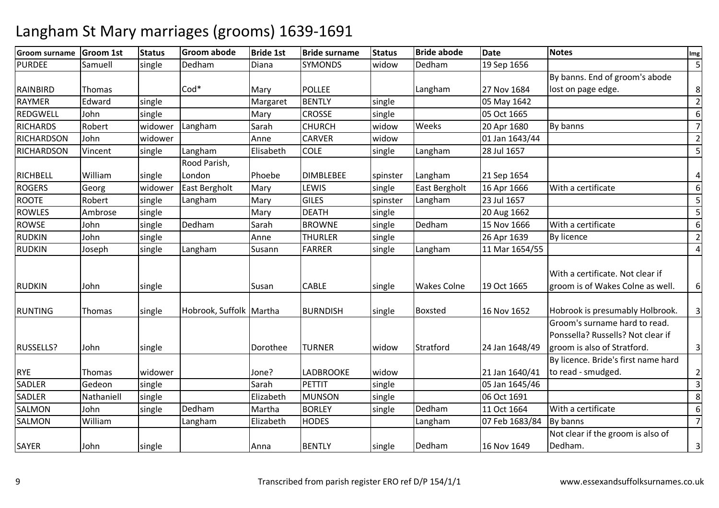| <b>Groom surname</b> | <b>Groom 1st</b> | <b>Status</b> | <b>Groom abode</b>      | <b>Bride 1st</b> | <b>Bride surname</b> | <b>Status</b> | <b>Bride abode</b> | <b>Date</b>    | <b>Notes</b>                        | Img            |
|----------------------|------------------|---------------|-------------------------|------------------|----------------------|---------------|--------------------|----------------|-------------------------------------|----------------|
| <b>PURDEE</b>        | Samuell          | single        | Dedham                  | Diana            | <b>SYMONDS</b>       | widow         | Dedham             | 19 Sep 1656    |                                     | 5              |
|                      |                  |               |                         |                  |                      |               |                    |                | By banns. End of groom's abode      |                |
| RAINBIRD             | Thomas           |               | $Cod*$                  | Mary             | <b>POLLEE</b>        |               | Langham            | 27 Nov 1684    | lost on page edge.                  | 8              |
| <b>RAYMER</b>        | Edward           | single        |                         | Margaret         | <b>BENTLY</b>        | single        |                    | 05 May 1642    |                                     | $\overline{2}$ |
| <b>REDGWELL</b>      | John             | single        |                         | Mary             | <b>CROSSE</b>        | single        |                    | 05 Oct 1665    |                                     | 6              |
| <b>RICHARDS</b>      | Robert           | widower       | Langham                 | Sarah            | <b>CHURCH</b>        | widow         | Weeks              | 20 Apr 1680    | By banns                            | $\overline{7}$ |
| <b>RICHARDSON</b>    | John             | widower       |                         | Anne             | <b>CARVER</b>        | widow         |                    | 01 Jan 1643/44 |                                     | $\overline{2}$ |
| <b>RICHARDSON</b>    | Vincent          | single        | Langham                 | Elisabeth        | <b>COLE</b>          | single        | Langham            | 28 Jul 1657    |                                     | 5              |
|                      |                  |               | Rood Parish,            |                  |                      |               |                    |                |                                     |                |
| <b>RICHBELL</b>      | William          | single        | London                  | Phoebe           | <b>DIMBLEBEE</b>     | spinster      | Langham            | 21 Sep 1654    |                                     | 4              |
| <b>ROGERS</b>        | Georg            | widower       | East Bergholt           | Mary             | LEWIS                | single        | East Bergholt      | 16 Apr 1666    | With a certificate                  | 6              |
| <b>ROOTE</b>         | Robert           | single        | Langham                 | Mary             | <b>GILES</b>         | spinster      | Langham            | 23 Jul 1657    |                                     | 5              |
| <b>ROWLES</b>        | Ambrose          | single        |                         | Mary             | <b>DEATH</b>         | single        |                    | 20 Aug 1662    |                                     | 5              |
| <b>ROWSE</b>         | John             | single        | Dedham                  | Sarah            | <b>BROWNE</b>        | single        | Dedham             | 15 Nov 1666    | With a certificate                  | 6              |
| <b>RUDKIN</b>        | John             | single        |                         | Anne             | <b>THURLER</b>       | single        |                    | 26 Apr 1639    | By licence                          | $\overline{2}$ |
| <b>RUDKIN</b>        | Joseph           | single        | Langham                 | Susann           | <b>FARRER</b>        | single        | Langham            | 11 Mar 1654/55 |                                     | $\overline{4}$ |
|                      |                  |               |                         |                  |                      |               |                    |                |                                     |                |
|                      |                  |               |                         |                  |                      |               |                    |                | With a certificate. Not clear if    |                |
| <b>RUDKIN</b>        | John             | single        |                         | Susan            | <b>CABLE</b>         | single        | <b>Wakes Colne</b> | 19 Oct 1665    | groom is of Wakes Colne as well.    | 6              |
|                      |                  |               |                         |                  |                      |               |                    |                |                                     |                |
| <b>RUNTING</b>       | Thomas           | single        | Hobrook, Suffolk Martha |                  | <b>BURNDISH</b>      | single        | <b>Boxsted</b>     | 16 Nov 1652    | Hobrook is presumably Holbrook.     | 3              |
|                      |                  |               |                         |                  |                      |               |                    |                | Groom's surname hard to read.       |                |
|                      |                  |               |                         |                  |                      |               |                    |                | Ponssella? Russells? Not clear if   |                |
| <b>RUSSELLS?</b>     | John             | single        |                         | Dorothee         | <b>TURNER</b>        | widow         | Stratford          | 24 Jan 1648/49 | groom is also of Stratford.         | 3              |
|                      |                  |               |                         |                  |                      |               |                    |                | By licence. Bride's first name hard |                |
| <b>RYE</b>           | Thomas           | widower       |                         | Jone?            | <b>LADBROOKE</b>     | widow         |                    | 21 Jan 1640/41 | to read - smudged.                  | $\overline{2}$ |
| <b>SADLER</b>        | Gedeon           | single        |                         | Sarah            | PETTIT               | single        |                    | 05 Jan 1645/46 |                                     | 3              |
| <b>SADLER</b>        | Nathaniell       | single        |                         | Elizabeth        | <b>MUNSON</b>        | single        |                    | 06 Oct 1691    |                                     | 8              |
| <b>SALMON</b>        | John             | single        | Dedham                  | Martha           | <b>BORLEY</b>        | single        | Dedham             | 11 Oct 1664    | With a certificate                  | 6              |
| <b>SALMON</b>        | William          |               | Langham                 | Elizabeth        | <b>HODES</b>         |               | Langham            | 07 Feb 1683/84 | By banns                            | $\overline{7}$ |
|                      |                  |               |                         |                  |                      |               |                    |                | Not clear if the groom is also of   |                |
| <b>SAYER</b>         | John             | single        |                         | Anna             | <b>BENTLY</b>        | single        | Dedham             | 16 Nov 1649    | Dedham.                             | 3              |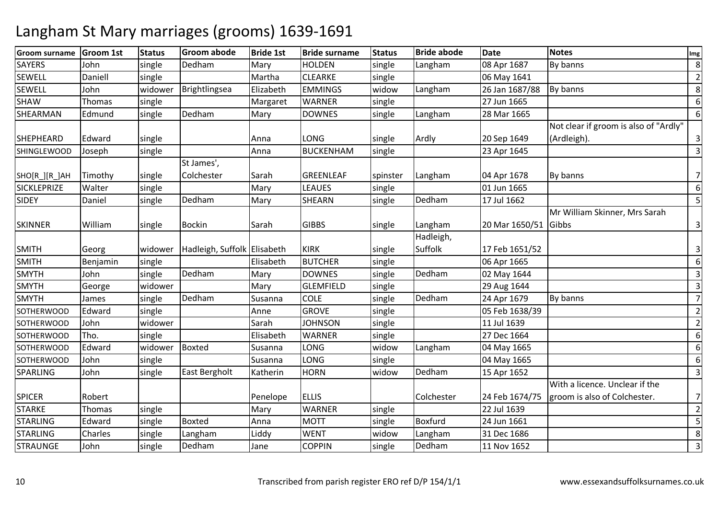| <b>Groom surname</b> | <b>Groom 1st</b> | <b>Status</b> | <b>Groom abode</b>          | <b>Bride 1st</b> | <b>Bride surname</b> | <b>Status</b> | <b>Bride abode</b> | <b>Date</b>          | <b>Notes</b>                          | Img            |
|----------------------|------------------|---------------|-----------------------------|------------------|----------------------|---------------|--------------------|----------------------|---------------------------------------|----------------|
| <b>SAYERS</b>        | John             | single        | Dedham                      | Mary             | <b>HOLDEN</b>        | single        | Langham            | 08 Apr 1687          | By banns                              | 8              |
| <b>SEWELL</b>        | Daniell          | single        |                             | Martha           | <b>CLEARKE</b>       | single        |                    | 06 May 1641          |                                       | $\overline{2}$ |
| <b>SEWELL</b>        | John             | widower       | Brightlingsea               | Elizabeth        | <b>EMMINGS</b>       | widow         | Langham            | 26 Jan 1687/88       | By banns                              | 8              |
| <b>SHAW</b>          | <b>Thomas</b>    | single        |                             | Margaret         | <b>WARNER</b>        | single        |                    | 27 Jun 1665          |                                       | 6              |
| SHEARMAN             | Edmund           | single        | Dedham                      | Mary             | <b>DOWNES</b>        | single        | Langham            | 28 Mar 1665          |                                       | 6              |
|                      |                  |               |                             |                  |                      |               |                    |                      | Not clear if groom is also of "Ardly" |                |
| <b>SHEPHEARD</b>     | Edward           | single        |                             | Anna             | LONG                 | single        | Ardly              | 20 Sep 1649          | (Ardleigh).                           | 3              |
| <b>SHINGLEWOOD</b>   | Joseph           | single        |                             | Anna             | <b>BUCKENHAM</b>     | single        |                    | 23 Apr 1645          |                                       | 3              |
|                      |                  |               | St James',                  |                  |                      |               |                    |                      |                                       |                |
| SHO[R_][R_]AH        | Timothy          | single        | Colchester                  | Sarah            | <b>GREENLEAF</b>     | spinster      | Langham            | 04 Apr 1678          | By banns                              | 7              |
| <b>SICKLEPRIZE</b>   | Walter           | single        |                             | Mary             | LEAUES               | single        |                    | 01 Jun 1665          |                                       | 6              |
| <b>SIDEY</b>         | Daniel           | single        | Dedham                      | Mary             | SHEARN               | single        | Dedham             | 17 Jul 1662          |                                       | 5              |
|                      |                  |               |                             |                  |                      |               |                    |                      | Mr William Skinner, Mrs Sarah         |                |
| <b>SKINNER</b>       | William          | single        | <b>Bockin</b>               | Sarah            | <b>GIBBS</b>         | single        | Langham            | 20 Mar 1650/51 Gibbs |                                       | 3              |
|                      |                  |               |                             |                  |                      |               | Hadleigh,          |                      |                                       |                |
| <b>SMITH</b>         | Georg            | widower       | Hadleigh, Suffolk Elisabeth |                  | <b>KIRK</b>          | single        | Suffolk            | 17 Feb 1651/52       |                                       | 3              |
| <b>SMITH</b>         | Benjamin         | single        |                             | Elisabeth        | <b>BUTCHER</b>       | single        |                    | 06 Apr 1665          |                                       | 6              |
| <b>SMYTH</b>         | John             | single        | Dedham                      | Mary             | <b>DOWNES</b>        | single        | Dedham             | 02 May 1644          |                                       | 3              |
| <b>SMYTH</b>         | George           | widower       |                             | Mary             | <b>GLEMFIELD</b>     | single        |                    | 29 Aug 1644          |                                       | $\overline{3}$ |
| <b>SMYTH</b>         | James            | single        | Dedham                      | Susanna          | <b>COLE</b>          | single        | Dedham             | 24 Apr 1679          | By banns                              | $\overline{7}$ |
| <b>SOTHERWOOD</b>    | Edward           | single        |                             | Anne             | <b>GROVE</b>         | single        |                    | 05 Feb 1638/39       |                                       | $\overline{2}$ |
| <b>SOTHERWOOD</b>    | John             | widower       |                             | Sarah            | <b>JOHNSON</b>       | single        |                    | 11 Jul 1639          |                                       | $\overline{2}$ |
| <b>SOTHERWOOD</b>    | Tho.             | single        |                             | Elisabeth        | <b>WARNER</b>        | single        |                    | 27 Dec 1664          |                                       | 6              |
| <b>SOTHERWOOD</b>    | Edward           | widower       | Boxted                      | Susanna          | LONG                 | widow         | Langham            | 04 May 1665          |                                       | 6              |
| <b>SOTHERWOOD</b>    | John             | single        |                             | Susanna          | LONG                 | single        |                    | 04 May 1665          |                                       | 6              |
| <b>SPARLING</b>      | John             | single        | <b>East Bergholt</b>        | Katherin         | <b>HORN</b>          | widow         | Dedham             | 15 Apr 1652          |                                       | 3              |
|                      |                  |               |                             |                  |                      |               |                    |                      | With a licence. Unclear if the        |                |
| <b>SPICER</b>        | Robert           |               |                             | Penelope         | <b>ELLIS</b>         |               | Colchester         | 24 Feb 1674/75       | groom is also of Colchester.          | $\overline{7}$ |
| <b>STARKE</b>        | Thomas           | single        |                             | Mary             | <b>WARNER</b>        | single        |                    | 22 Jul 1639          |                                       | $\overline{2}$ |
| <b>STARLING</b>      | Edward           | single        | <b>Boxted</b>               | Anna             | <b>MOTT</b>          | single        | <b>Boxfurd</b>     | 24 Jun 1661          |                                       | 5              |
| <b>STARLING</b>      | Charles          | single        | Langham                     | Liddy            | <b>WENT</b>          | widow         | Langham            | 31 Dec 1686          |                                       | 8              |
| <b>STRAUNGE</b>      | John             | single        | Dedham                      | Jane             | <b>COPPIN</b>        | single        | Dedham             | 11 Nov 1652          |                                       | 3              |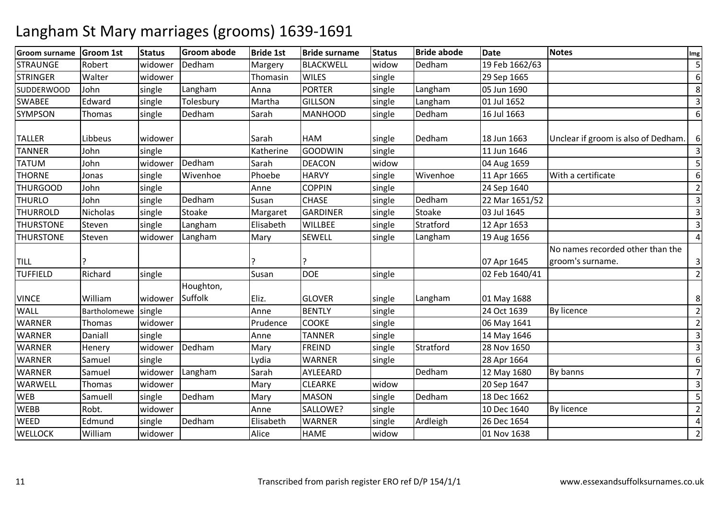| <b>Groom surname</b> | <b>Groom 1st</b> | <b>Status</b>   | <b>Groom abode</b> | <b>Bride 1st</b> | <b>Bride surname</b> | <b>Status</b> | <b>Bride abode</b> | <b>Date</b>    | <b>Notes</b>                                         | Img            |
|----------------------|------------------|-----------------|--------------------|------------------|----------------------|---------------|--------------------|----------------|------------------------------------------------------|----------------|
| <b>STRAUNGE</b>      | Robert           | widower         | Dedham             | Margery          | <b>BLACKWELL</b>     | widow         | Dedham             | 19 Feb 1662/63 |                                                      | 5              |
| <b>STRINGER</b>      | Walter           | widower         |                    | Thomasin         | <b>WILES</b>         | single        |                    | 29 Sep 1665    |                                                      | 6              |
| <b>SUDDERWOOD</b>    | John             | single          | Langham            | Anna             | <b>PORTER</b>        | single        | Langham            | 05 Jun 1690    |                                                      | 8              |
| <b>SWABEE</b>        | Edward           | single          | Tolesbury          | Martha           | <b>GILLSON</b>       | single        | Langham            | 01 Jul 1652    |                                                      | 3              |
| <b>SYMPSON</b>       | Thomas           | single          | Dedham             | Sarah            | MANHOOD              | single        | Dedham             | 16 Jul 1663    |                                                      | 6              |
| <b>TALLER</b>        | Libbeus          | widower         |                    | Sarah            | <b>HAM</b>           | single        | Dedham             | 18 Jun 1663    | Unclear if groom is also of Dedham.                  | 6              |
| <b>TANNER</b>        | John             | single          |                    | Katherine        | <b>GOODWIN</b>       | single        |                    | 11 Jun 1646    |                                                      | 3              |
| <b>TATUM</b>         | John             | widower         | Dedham             | Sarah            | <b>DEACON</b>        | widow         |                    | 04 Aug 1659    |                                                      | 5              |
| <b>THORNE</b>        | Jonas            | single          | Wivenhoe           | Phoebe           | <b>HARVY</b>         | single        | Wivenhoe           | 11 Apr 1665    | With a certificate                                   | 6              |
| <b>THURGOOD</b>      | John             | single          |                    | Anne             | <b>COPPIN</b>        | single        |                    | 24 Sep 1640    |                                                      | $\overline{2}$ |
| <b>THURLO</b>        | John             | single          | Dedham             | Susan            | <b>CHASE</b>         | single        | Dedham             | 22 Mar 1651/52 |                                                      | 3              |
| <b>THURROLD</b>      | <b>Nicholas</b>  | single          | Stoake             | Margaret         | <b>GARDINER</b>      | single        | Stoake             | 03 Jul 1645    |                                                      | 3              |
| <b>THURSTONE</b>     | Steven           | single          | Langham            | Elisabeth        | <b>WILLBEE</b>       | single        | Stratford          | 12 Apr 1653    |                                                      | 3              |
| <b>THURSTONE</b>     | Steven           | widower         | Langham            | Mary             | <b>SEWELL</b>        | single        | Langham            | 19 Aug 1656    |                                                      | $\overline{4}$ |
| <b>TILL</b>          |                  |                 |                    |                  |                      |               |                    | 07 Apr 1645    | No names recorded other than the<br>groom's surname. | 3              |
| <b>TUFFIELD</b>      | Richard          | single          |                    | Susan            | <b>DOE</b>           | single        |                    | 02 Feb 1640/41 |                                                      | $\overline{2}$ |
| <b>VINCE</b>         | William          | widower Suffolk | Houghton,          | Eliz.            | <b>GLOVER</b>        | single        | Langham            | 01 May 1688    |                                                      | 8              |
| <b>WALL</b>          | Bartholomewe     | single          |                    | Anne             | <b>BENTLY</b>        | single        |                    | 24 Oct 1639    | By licence                                           | $\overline{2}$ |
| <b>WARNER</b>        | Thomas           | widower         |                    | Prudence         | <b>COOKE</b>         | single        |                    | 06 May 1641    |                                                      | $\overline{2}$ |
| <b>WARNER</b>        | Daniall          | single          |                    | Anne             | <b>TANNER</b>        | single        |                    | 14 May 1646    |                                                      | 3              |
| <b>WARNER</b>        | Henery           | widower         | Dedham             | Mary             | FREIND               | single        | Stratford          | 28 Nov 1650    |                                                      | 3              |
| <b>WARNER</b>        | Samuel           | single          |                    | Lydia            | <b>WARNER</b>        | single        |                    | 28 Apr 1664    |                                                      | 6              |
| <b>WARNER</b>        | Samuel           | widower         | Langham            | Sarah            | AYLEEARD             |               | Dedham             | 12 May 1680    | By banns                                             | $\overline{7}$ |
| <b>WARWELL</b>       | Thomas           | widower         |                    | Mary             | <b>CLEARKE</b>       | widow         |                    | 20 Sep 1647    |                                                      | $\mathsf 3$    |
| <b>WEB</b>           | Samuell          | single          | Dedham             | Mary             | <b>MASON</b>         | single        | Dedham             | 18 Dec 1662    |                                                      | 5              |
| <b>WEBB</b>          | Robt.            | widower         |                    | Anne             | SALLOWE?             | single        |                    | 10 Dec 1640    | <b>By licence</b>                                    | $\overline{2}$ |
| <b>WEED</b>          | Edmund           | single          | Dedham             | Elisabeth        | <b>WARNER</b>        | single        | Ardleigh           | 26 Dec 1654    |                                                      | 4              |
| <b>WELLOCK</b>       | William          | widower         |                    | Alice            | <b>HAME</b>          | widow         |                    | 01 Nov 1638    |                                                      | $\overline{2}$ |